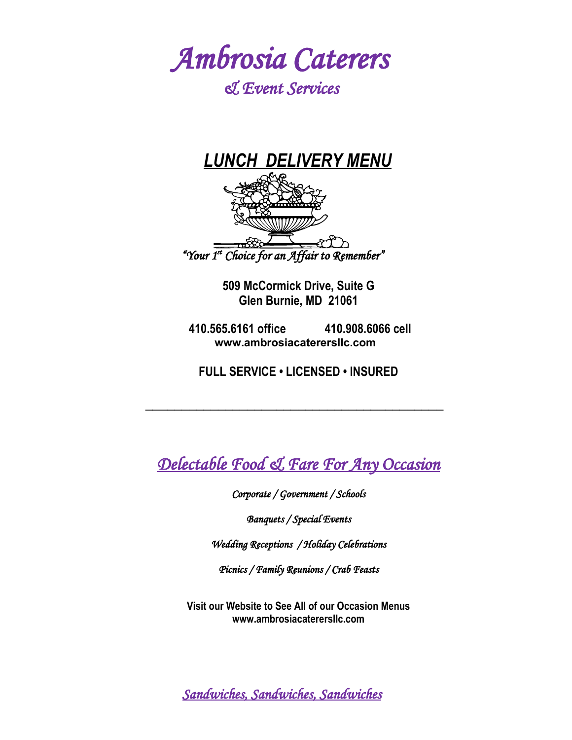

# *& Event Services*



**509 McCormick Drive, Suite G Glen Burnie, MD 21061**

 **410.565.6161 office 410.908.6066 cell www.ambrosiacaterersllc.com** 

**FULL SERVICE • LICENSED • INSURED**

 $\overline{\phantom{a}}$  ,  $\overline{\phantom{a}}$  ,  $\overline{\phantom{a}}$  ,  $\overline{\phantom{a}}$  ,  $\overline{\phantom{a}}$  ,  $\overline{\phantom{a}}$  ,  $\overline{\phantom{a}}$  ,  $\overline{\phantom{a}}$  ,  $\overline{\phantom{a}}$  ,  $\overline{\phantom{a}}$  ,  $\overline{\phantom{a}}$  ,  $\overline{\phantom{a}}$  ,  $\overline{\phantom{a}}$  ,  $\overline{\phantom{a}}$  ,  $\overline{\phantom{a}}$  ,  $\overline{\phantom{a}}$ 

*Delectable Food & Fare For Any Occasion*

*Corporate / Government / Schools*

*Banquets / Special Events*

*Wedding Receptions / Holiday Celebrations*

*Picnics / Family Reunions / Crab Feasts*

**Visit our Website to See All of our Occasion Menus www.ambrosiacaterersllc.com**

*Sandwiches, Sandwiches, Sandwiches*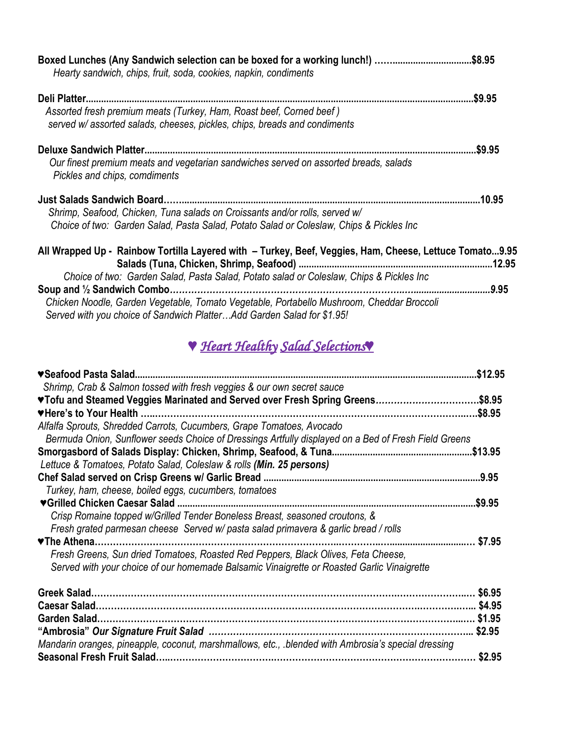| Boxed Lunches (Any Sandwich selection can be boxed for a working lunch!) \$8.95<br>Hearty sandwich, chips, fruit, soda, cookies, napkin, condiments |         |
|-----------------------------------------------------------------------------------------------------------------------------------------------------|---------|
|                                                                                                                                                     | .\$9.95 |
| Assorted fresh premium meats (Turkey, Ham, Roast beef, Corned beef)<br>served w/ assorted salads, cheeses, pickles, chips, breads and condiments    |         |
|                                                                                                                                                     | .\$9.95 |
| Our finest premium meats and vegetarian sandwiches served on assorted breads, salads<br>Pickles and chips, comdiments                               |         |
|                                                                                                                                                     |         |
| Shrimp, Seafood, Chicken, Tuna salads on Croissants and/or rolls, served w/                                                                         |         |
| Choice of two: Garden Salad, Pasta Salad, Potato Salad or Coleslaw, Chips & Pickles Inc                                                             |         |
| All Wrapped Up - Rainbow Tortilla Layered with - Turkey, Beef, Veggies, Ham, Cheese, Lettuce Tomato9.95                                             |         |
| Choice of two: Garden Salad, Pasta Salad, Potato salad or Coleslaw, Chips & Pickles Inc                                                             |         |
|                                                                                                                                                     | 9.95    |
| Chicken Noodle, Garden Vegetable, Tomato Vegetable, Portabello Mushroom, Cheddar Broccoli                                                           |         |

 *Served with you choice of Sandwich Platter…Add Garden Salad for \$1.95!*

# *♥ Heart Healthy Salad Selections♥*

|                                                                                                      | \$12.95 |
|------------------------------------------------------------------------------------------------------|---------|
| Shrimp. Crab & Salmon tossed with fresh veggies & our own secret sauce                               |         |
| ♥Tofu and Steamed Veggies Marinated and Served over Fresh Spring Greens\$8.95                        |         |
|                                                                                                      | .\$8.95 |
| Alfalfa Sprouts, Shredded Carrots, Cucumbers, Grape Tomatoes, Avocado                                |         |
| Bermuda Onion, Sunflower seeds Choice of Dressings Artfully displayed on a Bed of Fresh Field Greens |         |
|                                                                                                      |         |
| Lettuce & Tomatoes, Potato Salad, Coleslaw & rolls (Min. 25 persons)                                 |         |
|                                                                                                      |         |
| Turkey, ham, cheese, boiled eggs, cucumbers, tomatoes                                                |         |
|                                                                                                      | .\$9.95 |
| Crisp Romaine topped w/Grilled Tender Boneless Breast, seasoned croutons, &                          |         |
| Fresh grated parmesan cheese Served w/ pasta salad primavera & garlic bread / rolls                  |         |
| <b>▼The Athena.</b>                                                                                  | \$7.95  |
| Fresh Greens, Sun dried Tomatoes, Roasted Red Peppers, Black Olives, Feta Cheese,                    |         |
| Served with your choice of our homemade Balsamic Vinaigrette or Roasted Garlic Vinaigrette           |         |
|                                                                                                      | \$6.95  |
|                                                                                                      |         |
|                                                                                                      |         |
|                                                                                                      | \$2.95  |
| Mandarin oranges, pineapple, coconut, marshmallows, etc., blended with Ambrosia's special dressing   |         |
|                                                                                                      | \$2.95  |
|                                                                                                      |         |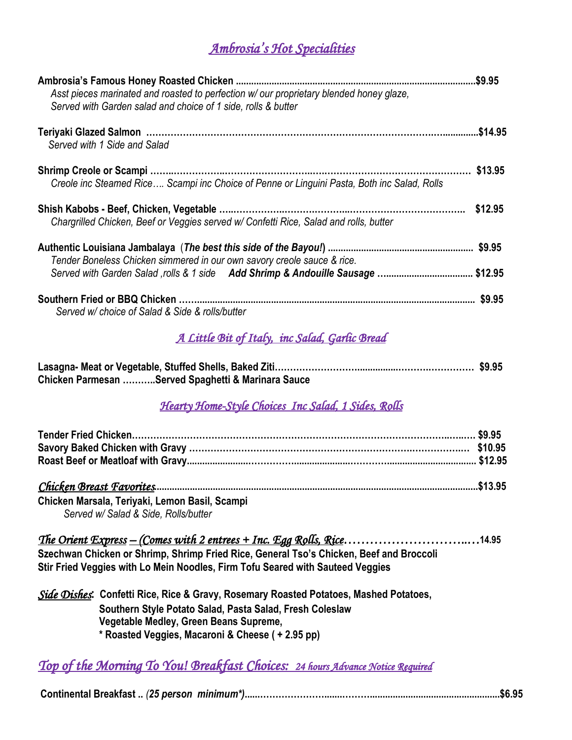## *Ambrosia's Hot Specialities*

| Asst pieces marinated and roasted to perfection w/ our proprietary blended honey glaze,<br>Served with Garden salad and choice of 1 side, rolls & butter |         |
|----------------------------------------------------------------------------------------------------------------------------------------------------------|---------|
|                                                                                                                                                          |         |
| Served with 1 Side and Salad                                                                                                                             |         |
|                                                                                                                                                          |         |
| Creole inc Steamed Rice Scampi inc Choice of Penne or Linguini Pasta, Both inc Salad, Rolls                                                              |         |
|                                                                                                                                                          |         |
| Chargrilled Chicken, Beef or Veggies served w/ Confetti Rice, Salad and rolls, butter                                                                    |         |
|                                                                                                                                                          |         |
| Tender Boneless Chicken simmered in our own savory creole sauce & rice.                                                                                  |         |
| Served with Garden Salad ,rolls & 1 side Add Shrimp & Andouille Sausage  \$12.95                                                                         |         |
|                                                                                                                                                          |         |
| Served w/ choice of Salad & Side & rolls/butter                                                                                                          |         |
| <u>A Little Bit of Italy, inc Salad, Garlic Bread</u>                                                                                                    |         |
| Chicken Parmesan Served Spaghetti & Marinara Sauce                                                                                                       |         |
| Hearty Home-Style Choices Inc Salad, 1 Sides, Rolls                                                                                                      |         |
|                                                                                                                                                          |         |
|                                                                                                                                                          |         |
|                                                                                                                                                          |         |
|                                                                                                                                                          |         |
| Chicken Marsala, Teriyaki, Lemon Basil, Scampi                                                                                                           |         |
| Served w/ Salad & Side, Rolls/butter                                                                                                                     |         |
| <u>The Orient Express – (Comes with 2 entrees + Inc. Egg Rolls, Rice</u>                                                                                 | . 14.95 |
| Szechwan Chicken or Shrimp, Shrimp Fried Rice, General Tso's Chicken, Beef and Broccoli                                                                  |         |
| Stir Fried Veggies with Lo Mein Noodles, Firm Tofu Seared with Sauteed Veggies                                                                           |         |
| Side Dishes: Confetti Rice, Rice & Gravy, Rosemary Roasted Potatoes, Mashed Potatoes,                                                                    |         |
| Southern Style Potato Salad, Pasta Salad, Fresh Coleslaw<br>Vegetable Medley, Green Beans Supreme,                                                       |         |
| * Roasted Veggies, Macaroni & Cheese ( + 2.95 pp)                                                                                                        |         |
|                                                                                                                                                          |         |
| <u>Top of the Morning To You! Breakfast Choices: 24 hours Advance Notice Required</u>                                                                    |         |

**Continental Breakfast ..** *(25 person minimum\*)***......………………….......………...................................................\$6.95**